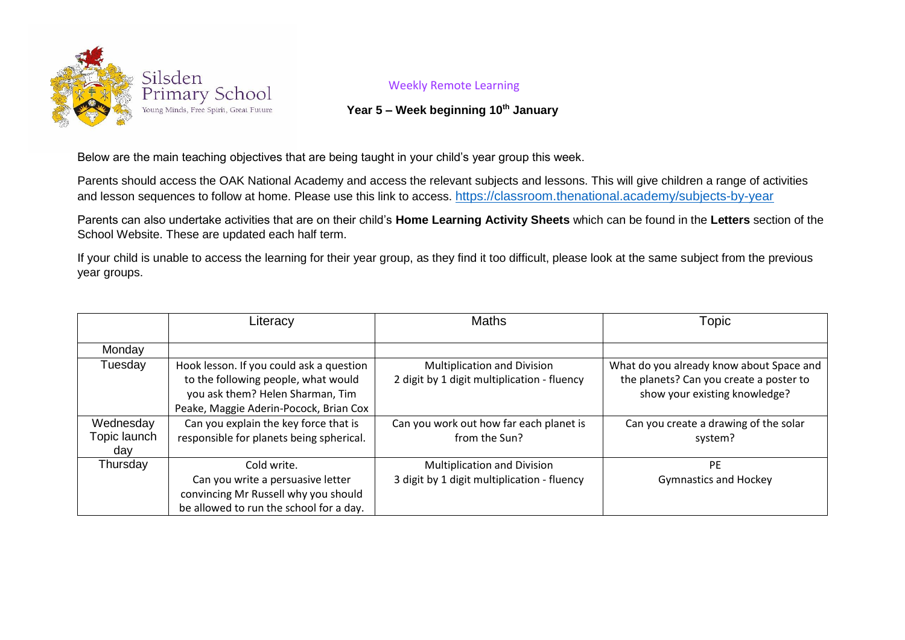

## Weekly Remote Learning

## **Year 5 – Week beginning 10th January**

Below are the main teaching objectives that are being taught in your child's year group this week.

Parents should access the OAK National Academy and access the relevant subjects and lessons. This will give children a range of activities and lesson sequences to follow at home. Please use this link to access. <https://classroom.thenational.academy/subjects-by-year>

Parents can also undertake activities that are on their child's **Home Learning Activity Sheets** which can be found in the **Letters** section of the School Website. These are updated each half term.

If your child is unable to access the learning for their year group, as they find it too difficult, please look at the same subject from the previous year groups.

|                                  | Literacy                                                                                                                                                      | <b>Maths</b>                                                                      | Topic                                                                                                                |
|----------------------------------|---------------------------------------------------------------------------------------------------------------------------------------------------------------|-----------------------------------------------------------------------------------|----------------------------------------------------------------------------------------------------------------------|
| Monday                           |                                                                                                                                                               |                                                                                   |                                                                                                                      |
| Tuesday                          | Hook lesson. If you could ask a question<br>to the following people, what would<br>you ask them? Helen Sharman, Tim<br>Peake, Maggie Aderin-Pocock, Brian Cox | <b>Multiplication and Division</b><br>2 digit by 1 digit multiplication - fluency | What do you already know about Space and<br>the planets? Can you create a poster to<br>show your existing knowledge? |
| Wednesday<br>Topic launch<br>day | Can you explain the key force that is<br>responsible for planets being spherical.                                                                             | Can you work out how far each planet is<br>from the Sun?                          | Can you create a drawing of the solar<br>system?                                                                     |
| Thursday                         | Cold write.<br>Can you write a persuasive letter<br>convincing Mr Russell why you should<br>be allowed to run the school for a day.                           | <b>Multiplication and Division</b><br>3 digit by 1 digit multiplication - fluency | <b>PE</b><br><b>Gymnastics and Hockey</b>                                                                            |